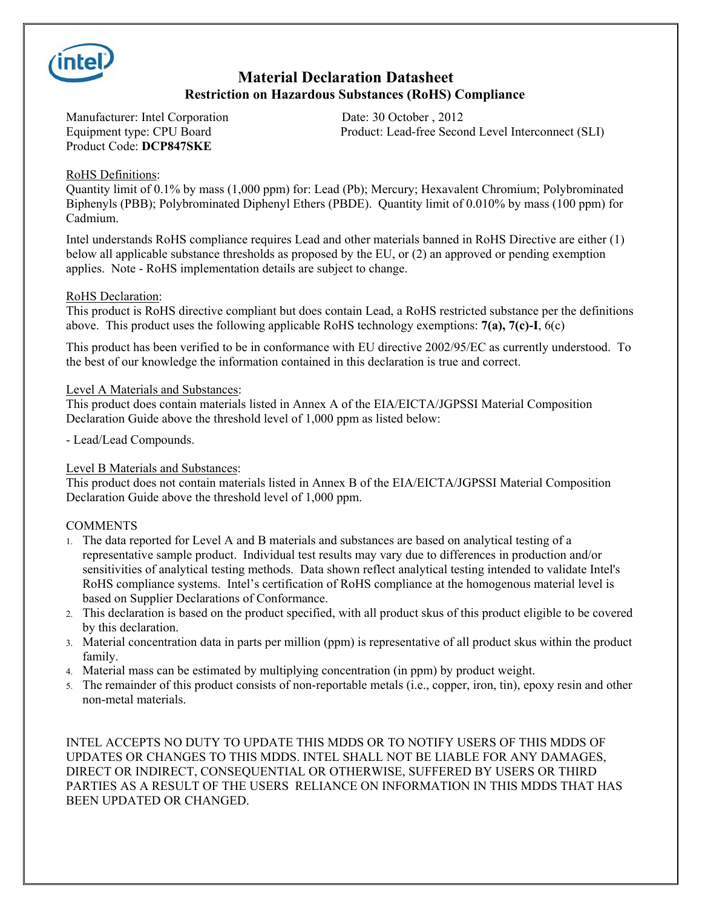

## **Material Declaration Datasheet Restriction on Hazardous Substances (RoHS) Compliance**

Manufacturer: Intel Corporation Date: 30 October , 2012 Product Code: **DCP847SKE**

Equipment type: CPU Board Product: Lead-free Second Level Interconnect (SLI)

### RoHS Definitions:

Quantity limit of 0.1% by mass (1,000 ppm) for: Lead (Pb); Mercury; Hexavalent Chromium; Polybrominated Biphenyls (PBB); Polybrominated Diphenyl Ethers (PBDE). Quantity limit of 0.010% by mass (100 ppm) for Cadmium.

Intel understands RoHS compliance requires Lead and other materials banned in RoHS Directive are either (1) below all applicable substance thresholds as proposed by the EU, or (2) an approved or pending exemption applies. Note - RoHS implementation details are subject to change.

### RoHS Declaration:

This product is RoHS directive compliant but does contain Lead, a RoHS restricted substance per the definitions above. This product uses the following applicable RoHS technology exemptions: **7(a), 7(c)-I**, 6(c)

This product has been verified to be in conformance with EU directive 2002/95/EC as currently understood. To the best of our knowledge the information contained in this declaration is true and correct.

### Level A Materials and Substances:

This product does contain materials listed in Annex A of the EIA/EICTA/JGPSSI Material Composition Declaration Guide above the threshold level of 1,000 ppm as listed below:

- Lead/Lead Compounds.

### Level B Materials and Substances:

This product does not contain materials listed in Annex B of the EIA/EICTA/JGPSSI Material Composition Declaration Guide above the threshold level of 1,000 ppm.

### **COMMENTS**

- 1. The data reported for Level A and B materials and substances are based on analytical testing of a representative sample product. Individual test results may vary due to differences in production and/or sensitivities of analytical testing methods. Data shown reflect analytical testing intended to validate Intel's RoHS compliance systems. Intel's certification of RoHS compliance at the homogenous material level is based on Supplier Declarations of Conformance.
- 2. This declaration is based on the product specified, with all product skus of this product eligible to be covered by this declaration.
- 3. Material concentration data in parts per million (ppm) is representative of all product skus within the product family.
- 4. Material mass can be estimated by multiplying concentration (in ppm) by product weight.
- 5. The remainder of this product consists of non-reportable metals (i.e., copper, iron, tin), epoxy resin and other non-metal materials.

INTEL ACCEPTS NO DUTY TO UPDATE THIS MDDS OR TO NOTIFY USERS OF THIS MDDS OF UPDATES OR CHANGES TO THIS MDDS. INTEL SHALL NOT BE LIABLE FOR ANY DAMAGES, DIRECT OR INDIRECT, CONSEQUENTIAL OR OTHERWISE, SUFFERED BY USERS OR THIRD PARTIES AS A RESULT OF THE USERS RELIANCE ON INFORMATION IN THIS MDDS THAT HAS BEEN UPDATED OR CHANGED.